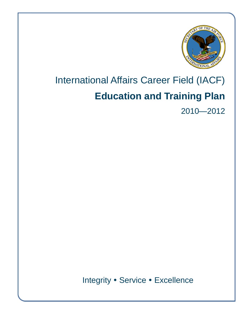

# International Affairs Career Field (IACF) **Education and Training Plan**

2010—2012

Integrity • Service • Excellence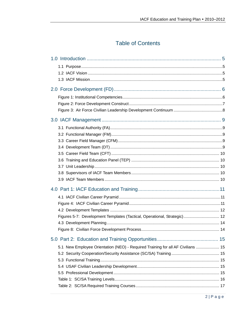# **Table of Contents**

| Figures 5-7: Development Templates (Tactical, Operational, Strategic) 12        |  |
|---------------------------------------------------------------------------------|--|
|                                                                                 |  |
|                                                                                 |  |
|                                                                                 |  |
| 5.1 New Employee Orientation (NEO) - Required Training for all AF Civilians  15 |  |
|                                                                                 |  |
|                                                                                 |  |
|                                                                                 |  |
|                                                                                 |  |
|                                                                                 |  |
|                                                                                 |  |
|                                                                                 |  |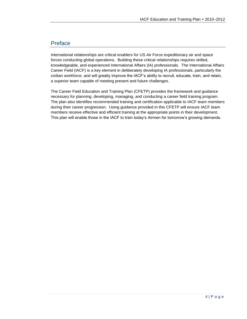# Preface

International relationships are critical enablers for US Air Force expeditionary air and space forces conducting global operations. Building these critical relationships requires skilled, knowledgeable, and experienced International Affairs (IA) professionals. The International Affairs Career Field (IACF) is a key element in deliberately developing IA professionals, particularly the civilian workforce, and will greatly improve the IACF's ability to recruit, educate, train, and retain, a superior team capable of meeting present and future challenges.

The Career Field Education and Training Plan (CFETP) provides the framework and guidance necessary for planning, developing, managing, and conducting a career field training program. The plan also identifies recommended training and certification applicable to IACF team members during their career progression. Using guidance provided in this CFETP will ensure IACF team members receive effective and efficient training at the appropriate points in their development. This plan will enable those in the IACF to train today's Airmen for tomorrow's growing demands.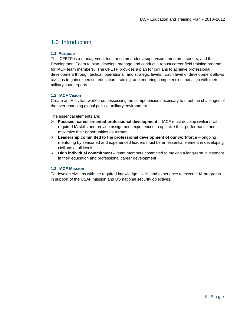# 1.0 Introduction

#### **1.1 Purpose**

This CFETP is a management tool for commanders, supervisors, mentors, trainers, and the Development Team to plan, develop, manage and conduct a robust career field training program for IACF team members. The CFETP provides a plan for civilians to achieve professional development through tactical, operational, and strategic levels. Each level of development allows civilians to gain expertise, education, training, and enduring competencies that align with their military counterparts.

#### **1.2 IACF Vision**

Create an IA civilian workforce possessing the competencies necessary to meet the challenges of the ever-changing global political-military environment.

The essential elements are:

- **Focused, career-oriented professional development**  IACF must develop civilians with required IA skills and provide assignment experiences to optimize their performance and maximize their opportunities as Airmen
- **Leadership committed to the professional development of our workforce**  ongoing mentoring by seasoned and experienced leaders must be an essential element in developing civilians at all levels
- **High individual commitment**  team members committed to making a long-term investment in their education and professional career development

#### **1.3 IACF Mission**

To develop civilians with the required knowledge, skills, and experience to execute IA programs in support of the USAF mission and US national security objectives.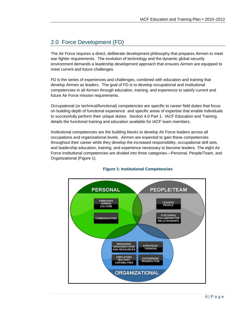# 2.0 Force Development (FD)

The Air Force requires a direct, deliberate development philosophy that prepares Airmen to meet war fighter requirements. The evolution of technology and the dynamic global security environment demands a leadership development approach that ensures Airmen are equipped to meet current and future challenges.

FD is the series of experiences and challenges, combined with education and training that develop Airmen as leaders. The goal of FD is to develop occupational and institutional competencies in all Airmen through education, training, and experience to satisfy current and future Air Force mission requirements.

Occupational (or technical/functional) competencies are specific to career field duties that focus on building depth of functional experience and specific areas of expertise that enable individuals to successfully perform their unique duties. Section 4.0 Part 1: IACF Education and Training, details the functional training and education available for IACF team members.

Institutional competencies are the building blocks to develop Air Force leaders across all occupations and organizational levels. Airmen are expected to gain these competencies throughout their career while they develop the increased responsibility, occupational skill sets, and leadership education, training, and experience necessary to become leaders. The eight Air Force institutional competencies are divided into three categories—Personal, People/Team, and Organizational (Figure 1).



#### **Figure 1: Institutional Competencies**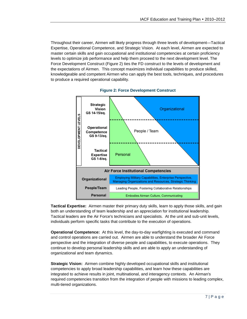Throughout their career, Airmen will likely progress through three levels of development—Tactical Expertise, Operational Competence, and Strategic Vision. At each level, Airmen are expected to master certain skills and gain occupational and institutional competencies at certain proficiency levels to optimize job performance and help them proceed to the next development level. The Force Development Construct (Figure 2) ties the FD construct to the levels of development and the expectations of Airmen. This concept maximizes individual capabilities to produce skilled, knowledgeable and competent Airmen who can apply the best tools, techniques, and procedures to produce a required operational capability.





**Tactical Expertise:** Airmen master their primary duty skills, learn to apply those skills, and gain both an understanding of team leadership and an appreciation for institutional leadership. Tactical leaders are the Air Force's technicians and specialists. At the unit and sub-unit levels, individuals perform specific tasks that contribute to the execution of operations.

**Operational Competence:** At this level, the day-to-day warfighting is executed and command and control operations are carried out. Airmen are able to understand the broader Air Force perspective and the integration of diverse people and capabilities, to execute operations. They continue to develop personal leadership skills and are able to apply an understanding of organizational and team dynamics.

**Strategic Vision:** Airmen combine highly developed occupational skills and institutional competencies to apply broad leadership capabilities, and learn how these capabilities are integrated to achieve results in joint, multinational, and interagency contexts. An Airman's required competencies transition from the integration of people with missions to leading complex, multi-tiered organizations.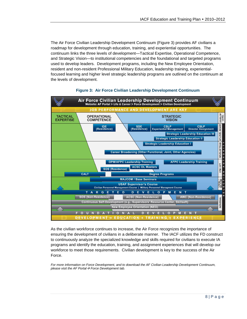The Air Force Civilian Leadership Development Continuum (Figure 3) provides AF civilians a roadmap for development through education, training, and experiential opportunities. The continuum links the three levels of development—Tactical Expertise, Operational Competence, and Strategic Vision—to institutional competencies and the foundational and targeted programs used to develop leaders. Development programs, including the New Employee Orientation, resident and non-resident Professional Military Education, leadership training, experientialfocused learning and higher level strategic leadership programs are outlined on the continuum at the levels of development.



#### **Figure 3: Air Force Civilian Leadership Development Continuum**

As the civilian workforce continues to increase, the Air Force recognizes the importance of ensuring the development of civilians in a deliberate manner. The IACF utilizes the FD construct to continuously analyze the specialized knowledge and skills required for civilians to execute IA programs and identify the education, training, and assignment experiences that will develop our workforce to meet those requirements. Civilian development is key to the success of the Air Force.

*For more information on Force Development, and to download the AF Civilian Leadership Development Continuum, please visit the AF Portal Force Development tab.*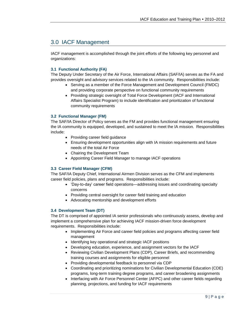# 3.0 IACF Management

IACF management is accomplished through the joint efforts of the following key personnel and organizations:

#### **3.1 Functional Authority (FA)**

The Deputy Under Secretary of the Air Force, International Affairs (SAF/IA) serves as the FA and provides oversight and advisory services related to the IA community. Responsibilities include:

- Serving as a member of the Force Management and Development Council (FMDC) and providing corporate perspective on functional community requirements
- Providing strategic oversight of Total Force Development (IACF and International Affairs Specialist Program) to include identification and prioritization of functional community requirements

#### **3.2 Functional Manager (FM)**

The SAF/IA Director of Policy serves as the FM and provides functional management ensuring the IA community is equipped, developed, and sustained to meet the IA mission. Responsibilities include:

- Providing career field guidance
- Ensuring development opportunities align with IA mission requirements and future needs of the total Air Force
- Chairing the Development Team
- Appointing Career Field Manager to manage IACF operations

#### **3.3 Career Field Manager (CFM)**

The SAF/IA Deputy Chief, International Airmen Division serves as the CFM and implements career field policies, plans and programs. Responsibilities include:

- 'Day-to-day' career field operations—addressing issues and coordinating specialty concerns
- Providing central oversight for career field training and education
- Advocating mentorship and development efforts

#### **3.4 Development Team (DT)**

The DT is comprised of appointed IA senior professionals who continuously assess, develop and implement a comprehensive plan for achieving IACF mission-driven force development requirements. Responsibilities include:

- Implementing Air Force and career field policies and programs affecting career field management
- Identifying key operational and strategic IACF positions
- Developing education, experience, and assignment vectors for the IACF
- Reviewing Civilian Development Plans (CDP), Career Briefs, and recommending training courses and assignments for eligible personnel
- Providing developmental feedback to personnel via CDP
- Coordinating and prioritizing nominations for Civilian Developmental Education (CDE) programs, long-term training degree programs, and career broadening assignments
- Interfacing with Air Force Personnel Center (AFPC) and other career fields regarding planning, projections, and funding for IACF requirements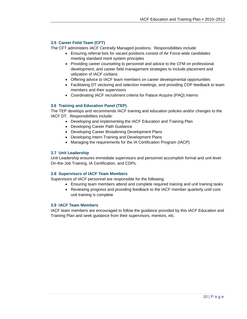#### **3.5 Career Field Team (CFT)**

The CFT administers IACF Centrally Managed positions. Responsibilities include:

- Ensuring referral lists for vacant positions consist of Air Force-wide candidates meeting standard merit system principles
- Providing career counseling to personnel and advice to the CFM on professional development, and career field management strategies to include placement and utilization of IACF civilians
- Offering advice to IACF team members on career developmental opportunities
- Facilitating DT vectoring and selection meetings, and providing CDP feedback to team members and their supervisors
- Coordinating IACF recruitment criteria for Palace Acquire (PAQ) interns

#### **3.6 Training and Education Panel (TEP)**

The TEP develops and recommends IACF training and education policies and/or changes to the IACF DT. Responsibilities include:

- Developing and implementing the IACF Education and Training Plan
- Developing Career Path Guidance
- Developing Career Broadening Development Plans
- Developing Intern Training and Development Plans
- Managing the requirements for the IA Certification Program (IACP)

#### **3.7 Unit Leadership**

Unit Leadership ensures immediate supervisors and personnel accomplish formal and unit level On-the-Job Training, IA Certification, and CDPs.

#### **3.8 Supervisors of IACF Team Members**

Supervisors of IACF personnel are responsible for the following:

- Ensuring team members attend and complete required training and unit training tasks
	- Reviewing progress and providing feedback to the IACF member quarterly until core unit training is complete

#### **3.9 IACF Team Members**

IACF team members are encouraged to follow the guidance provided by this IACF Education and Training Plan and seek guidance from their supervisors, mentors, etc.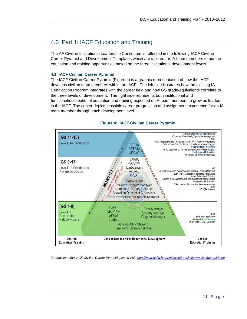# 4.0 Part 1: IACF Education and Training

The AF Civilian Institutional Leadership Continuum is reflected in the following IACF Civilian Career Pyramid and Development Templates which are tailored for IA team members to pursue education and training opportunities based on the three institutional development levels.

#### **4.1 IACF Civilian Career Pyramid**

The IACF Civilian Career Pyramid (Figure 4) is a graphic representation of how the IACF develops civilian team members within the IACF. The left side illustrates how the existing IA Certification Program integrates with the career field and how GS grade/equivalents correlate to the three levels of development. The right side represents both institutional and functional/occupational education and training expected of IA team members to grow as leaders in the IACF. The center depicts possible career progression and assignment experience for an IA team member through each development level.



#### **Figure 4: IACF Civilian Career Pyramid**

*To download the IACF Civilian Career Pyramid, please visit[: http://www.safia.hq.af.mil/workforceinitiatives/iacfpyramid.asp](http://www.safia.hq.af.mil/workforceinitiatives/iacfpyramid.asp)*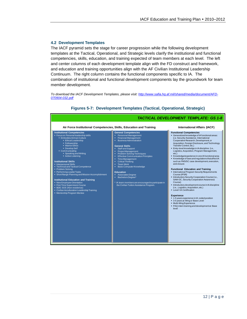#### **4.2 Development Templates**

The IACF pyramid sets the stage for career progression while the following development templates at the Tactical, Operational, and Strategic levels clarify the institutional and functional competencies, skills, education, and training expected of team members at each level. The left and center columns of each development template align with the FD construct and framework, and education and training opportunities align with the AF Civilian Institutional Leadership Continuum. The right column contains the functional components specific to IA. The combination of institutional and functional development components lay the groundwork for team member development.

*To download the IACF Development Templates, please visit: [http://www.safia.hq.af.mil/shared/media/document/AFD-](http://www.safia.hq.af.mil/shared/media/document/AFD-070904-032.pdf)[070904-032.pdf](http://www.safia.hq.af.mil/shared/media/document/AFD-070904-032.pdf)*



**Figures 5-7: Development Templates (Tactical, Operational, Strategic)**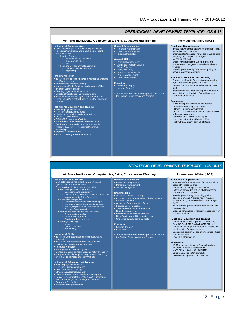|                                                                                                                                                                                                                                                                                                                                                                                                                                                                                                                                                                                                                                                                                                                                                                                                                                                                                                                                                                                                                                                                                                                                                                                                                                                                                                                                                                                                                                                                                                                                                                                                                                                        |                                                                                                                                                                                                                                                                                                                                                                                                                                                                                                                                                                                                                                                            | <b>OPERATIONAL DEVELOPMENT TEMPLATE: GS 9-13</b>                                                                                                                                                                                                                                                                                                                                                                                                                                                                                                                                                                                                                                                                                                                                                                                                                                                                                                                                                                                                                                                                                                            |
|--------------------------------------------------------------------------------------------------------------------------------------------------------------------------------------------------------------------------------------------------------------------------------------------------------------------------------------------------------------------------------------------------------------------------------------------------------------------------------------------------------------------------------------------------------------------------------------------------------------------------------------------------------------------------------------------------------------------------------------------------------------------------------------------------------------------------------------------------------------------------------------------------------------------------------------------------------------------------------------------------------------------------------------------------------------------------------------------------------------------------------------------------------------------------------------------------------------------------------------------------------------------------------------------------------------------------------------------------------------------------------------------------------------------------------------------------------------------------------------------------------------------------------------------------------------------------------------------------------------------------------------------------------|------------------------------------------------------------------------------------------------------------------------------------------------------------------------------------------------------------------------------------------------------------------------------------------------------------------------------------------------------------------------------------------------------------------------------------------------------------------------------------------------------------------------------------------------------------------------------------------------------------------------------------------------------------|-------------------------------------------------------------------------------------------------------------------------------------------------------------------------------------------------------------------------------------------------------------------------------------------------------------------------------------------------------------------------------------------------------------------------------------------------------------------------------------------------------------------------------------------------------------------------------------------------------------------------------------------------------------------------------------------------------------------------------------------------------------------------------------------------------------------------------------------------------------------------------------------------------------------------------------------------------------------------------------------------------------------------------------------------------------------------------------------------------------------------------------------------------------|
| Air Force Institutional Competencies, Skills, Education and Training                                                                                                                                                                                                                                                                                                                                                                                                                                                                                                                                                                                                                                                                                                                                                                                                                                                                                                                                                                                                                                                                                                                                                                                                                                                                                                                                                                                                                                                                                                                                                                                   |                                                                                                                                                                                                                                                                                                                                                                                                                                                                                                                                                                                                                                                            | <b>International Affairs (IACF)</b>                                                                                                                                                                                                                                                                                                                                                                                                                                                                                                                                                                                                                                                                                                                                                                                                                                                                                                                                                                                                                                                                                                                         |
| <b>Institutional Competencies</b><br>• Competencies gained at Tactical Expertise level<br>• Focus on interpersonal and team (People/Team)<br>leadership skills<br>• Leading People<br>• Develop and Inspire Others<br>• Takes Care of People<br>- Diversity<br>• Fostering Collaborative Relationships<br>• Build Teams and Coalitions<br>• Negotiating<br><b>Institutional Skills</b><br>• Technical and Tactical Ability to Synchronize Systems<br>and Organizations<br>• Sophisticated Problem Solving<br>• Interpersonal Skills Emphasizing Influencing Others<br>Through Communication<br>• Shaping Organizational Structure<br>• Directing Operations of Complex Systems<br>• Tailored Resources to Organizations or Programs<br>• Establishing Policies that Foster a Healthy Command<br>Climate<br><b>Institutional Education and Training</b><br>• New Employee Orientation<br>· First Time Supervisors Course<br>• Civilian Acculturation Leadership Training<br>· BDE: SOS (Residence)<br>• OPM/AFPC Leadership Training<br>. Intermediate Developmental Education: ACSC<br>(Residence, Non-residence, Distance Learning<br>Masters), ELDP, AFIT, Academic Programs,<br>Fellowships<br>• Squadron Director Course<br>• Mentorship Program Mentee/Mentor                                                                                                                                                                                                                                                                                                                                                                                     | <b>General Competencies</b><br>×.<br><b>Financial Management</b><br>• Personnel Management<br>• Systems Integration<br><b>General Skills</b><br>Program Management<br>• Advanced Problem Solving<br>×.<br><b>Team Building</b><br><b>Analytical Ability</b><br><b>Advanced People Skills</b><br>Project Management<br>ò,<br>Time Management<br><b>Education</b><br><b>Bachelors Degree*</b><br>Masters Degree*<br>* IA team members are encouraged to participate in<br>the Civilian Tuition Assistance Program.                                                                                                                                           | <b>Functional Competencies</b><br>· Introductory/Intermediate level of experience in a<br>second IA functional area<br>• Intermediate/Advanced knowledge in IA discipline<br>(i.e., Logistics, Acquisition, Program<br>Management, etc.)<br>Broad knowledge of the IA community and<br>operations of other governmental agencies and<br>functions<br>Knowledge of Security Cooperation policy and<br>specific program procedures<br><b>Functional Education and Training</b><br>• Specialized Security Cooperation course offered<br>by DISAM or DoD agency (i.e., SAM-E, SAM-C,<br>SAM-TO/TM, and Mid-East Orientation Course,<br>$etc.$ )<br>Intermediate/Advanced development courses in<br>IA discipline (i.e., Logistics, Acquisition, etc.)<br>Level II IA Certification<br><b>Experience</b><br>• 5-9 years experience in IA coded position<br>• 1 Career Broadening Assignment<br>• 1 Cross-Functional Assignment<br>• Organizational Mobility-minimum 3 assignments<br>in the same command<br>• Squadron CC/Division Chief/Deputy<br>• MAJCOM, Joint, Air Staff Action Officer<br>Flight/Office/Branch/Team Chief/Deputy                           |
|                                                                                                                                                                                                                                                                                                                                                                                                                                                                                                                                                                                                                                                                                                                                                                                                                                                                                                                                                                                                                                                                                                                                                                                                                                                                                                                                                                                                                                                                                                                                                                                                                                                        |                                                                                                                                                                                                                                                                                                                                                                                                                                                                                                                                                                                                                                                            | <b>STRATEGIC DEVELOPMENT TEMPLATE: GS 14-15</b>                                                                                                                                                                                                                                                                                                                                                                                                                                                                                                                                                                                                                                                                                                                                                                                                                                                                                                                                                                                                                                                                                                             |
| Air Force Institutional Competencies, Skills, Education and Training<br><b>Institutional Competencies</b><br>• Competencies gained at Tactical Expertise and<br>Operational Competence levels<br>• Focus on Organizational leadership skills<br><b>Employing Military Capabilities</b><br>• Operational and Strategic Art<br>• Unit, Air Force, Joint and Coalition Capabilities<br>• Non-Adversarial Crisis Response<br><b>Enterprise Perspective</b><br><b>Enterprise Structure and Relationships</b><br>• Government Organization and Processes<br>Global, Regional and Cultural Awareness<br>• Strategic Communication<br>• Managing Organizations and Resources<br><b>- Resource Stewardship</b><br>• Change Management<br>• Continuous Improvement<br>Strategic Thinking<br>■ Vision<br>• Decision Making<br>- Adaptability<br><b>Institutional Skills</b><br>• Technical Competencies on Force Structure and<br>Integration<br>- Technical Competencies on Unified, Joint, Multi-<br>National and Inter-agency Operations<br>• Resource Allocation<br>• Management of Complex Systems<br>• Conceptual Competence in Creating Policy and Vision<br>• Interpersonal Skills Emphasizing Consensus Building<br>and Influencing Peers and Policy Makers<br><b>Institutional Education and Training</b><br>• New Employee Orientation<br>• First Time Supervisors Course<br>• AFPC Leadership Training<br>• Strategic Leadership Education<br>• Defense Senior Leader Development Program<br>• Senior Developmental Education: AWC (Residence,<br>Non-residence), ICAF, DSLDP, AFIT, Academic<br>Programs, Fellowships<br>• Mentorship Program Mentor | <b>General Competencies</b><br>• Financial Management<br>• Personnel Management<br>Systems Integration<br><b>General Skills</b><br>Advanced Decision Making<br><b>Engage in creative, Innovative Thinking for New</b><br>Solutions/Options<br>Advanced Communication Skills<br>• Manage Entire Functions<br>• Think and Work Across Boundaries<br>• Drive Transformation<br>• Maintain Geo-political Awareness<br><b>Build Coalitions and Communications</b><br>• Understand and Execute Budgets<br><b>Education</b><br>· Masters Degree*<br>• Doctorate<br>* IA team members are encouraged to participate in<br>the Civilian Tuition Assistance Program. | <b>International Affairs (IACF)</b><br><b>Functional Competencies</b><br>· Intermediate/Advanced level of experience in a<br>second IA functional area<br>Advanced knowledge in IA disciplines<br>Extensive knowledge of Security Cooperation<br>programs and procedures<br>Knowledge of Strategic Planning, policy<br>development, and IA strategy as it relates to<br>MILDEP, DoD, and National Security strategic<br>plans<br>Broad knowledge of National Level Policies and<br><b>Strategic Plans</b><br>Broad understanding of fiduciary responsibility of<br>IA appropriations<br><b>Functional Education and Training</b><br>- Advanced Security Cooperation course (i.e.,<br>SAM-CF, SAM-CM, SAM-AT, SAM-CR, etc.)<br>- Advanced development courses in IA discipline<br>(i.e., Logistics, Acquisition, etc.)<br>• Specialized Security Cooperation courses offered<br>by DoD agencies<br>• Level III IA Certification<br><b>Experience</b><br>• 10-15 years experience in IA coded position<br>• 2+ Cross-Functional Assignments<br>· MAJCOM, Air Staff, NAF, SAF/HAF<br>Directorate/Division Chief/Deputy<br>• Overseas Assignment, Cross Service |

#### 13 | P a g e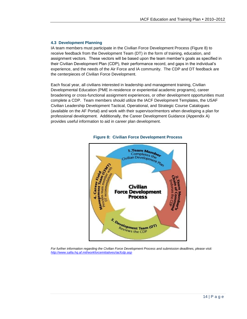#### **4.3 Development Planning**

IA team members must participate in the Civilian Force Development Process (Figure 8) to receive feedback from the Development Team (DT) in the form of training, education, and assignment vectors. These vectors will be based upon the team member's goals as specified in their Civilian Development Plan (CDP), their performance record, and gaps in the individual's experience, and the needs of the Air Force and IA community. The CDP and DT feedback are the centerpieces of Civilian Force Development.

Each fiscal year, all civilians interested in leadership and management training, Civilian Developmental Education (PME in-residence or experiential academic programs), career broadening or cross-functional assignment experiences, or other development opportunities must complete a CDP. Team members should utilize the IACF Development Templates, the USAF Civilian Leadership Development Tactical, Operational, and Strategic Course Catalogues (available on the AF Portal) and work with their supervisor/mentors when developing a plan for professional development. Additionally, the Career Development Guidance (Appendix A) provides useful information to aid in career plan development.



#### **Figure 8: Civilian Force Development Process**

*For further information regarding the Civilian Force Development Process and submission deadlines, please visit: <http://www.safia.hq.af.mil/workforceinitiatives/iacfcdp.asp>*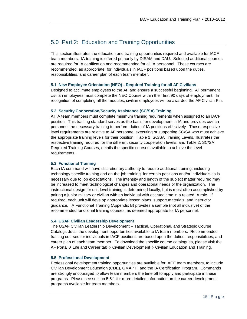# 5.0 Part 2: Education and Training Opportunities

This section illustrates the education and training opportunities required and available for IACF team members. IA training is offered primarily by DISAM and DAU. Selected additional courses are required for IA certification and recommended for all IA personnel. These courses are recommended, as appropriate, for individuals in IACF positions based upon the duties, responsibilities, and career plan of each team member.

#### **5.1 New Employee Orientation (NEO) - Required Training for all AF Civilians**

Designed to acclimate employees to the AF and ensure a successful beginning. All permanent civilian employees must complete the NEO Course within their first 90 days of employment. In recognition of completing all the modules, civilian employees will be awarded the AF Civilian Pin.

#### **5.2 Security Cooperation/Security Assistance (SC/SA) Training**

All IA team members must complete minimum training requirements when assigned to an IACF position. This training standard serves as the basis for development in IA and provides civilian personnel the necessary training to perform duties of IA positions effectively. These respective level requirements are relative to AF personnel executing or supporting SC/SA who must achieve the appropriate training levels for their position. Table 1: SC/SA Training Levels, illustrates the respective training required for the different security cooperation levels, and Table 2: SC/SA Required Training Courses, details the specific courses available to achieve the level requirements.

#### **5.3 Functional Training**

Each IA command will have discretionary authority to require additional training, including technology specific training and on-the-job training, for certain positions and/or individuals as is necessary due to job expectations. The intensity and length of the subject matter required may be increased to meet technological changes and operational needs of the organization. The instructional design for unit level training is determined locally, but is most often accomplished by pairing a junior military or civilian with an individual with accrued time in a related IA role. If required, each unit will develop appropriate lesson plans, support materials, and instructor guidance. IA Functional Training (Appendix B) provides a sample (not all inclusive) of the recommended functional training courses, as deemed appropriate for IA personnel.

#### **5.4 USAF Civilian Leadership Development**

The USAF Civilian Leadership Development – Tactical, Operational, and Strategic Course Catalogs detail the development opportunities available to IA team members. Recommended training courses for individuals in IACF positions are based upon the duties, responsibilities, and career plan of each team member. To download the specific course catalogues, please visit the AF Portal $\rightarrow$  Life and Career tab $\rightarrow$  Civilian Development $\rightarrow$  Civilian Education and Training.

#### **5.5 Professional Development**

Professional development training opportunities are available for IACF team members, to include Civilian Development Education (CDE), GMAP II, and the IA Certification Program. Commands are strongly encouraged to allow team members the time off to apply and participate in these programs. Please see section 5.5.1 for more detailed information on the career development programs available for team members.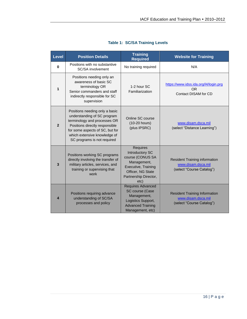| <b>Level</b>   | <b>Position Details</b>                                                                                                                                                                                                           | <b>Training</b><br><b>Required</b>                                                                                                                 | <b>Website for Training</b>                                                             |
|----------------|-----------------------------------------------------------------------------------------------------------------------------------------------------------------------------------------------------------------------------------|----------------------------------------------------------------------------------------------------------------------------------------------------|-----------------------------------------------------------------------------------------|
| $\bf{0}$       | Positions with no substantive<br>SC/SA involvement                                                                                                                                                                                | No training required                                                                                                                               | N/A                                                                                     |
| 1              | Positions needing only an<br>awareness of basic SC<br>terminology OR<br>Senior commanders and staff<br>indirectly responsible for SC<br>supervision                                                                               | 1-2 hour SC<br>Familiarization                                                                                                                     | https://www.idss.ida.org/l4/login.prg<br><b>OR</b><br>Contact DISAM for CD              |
| $\overline{2}$ | Positions needing only a basic<br>understanding of SC program<br>terminology and processes OR<br>Positions directly responsible<br>for some aspects of SC, but for<br>which extensive knowledge of<br>SC programs is not required | Online SC course<br>(10-20 hours)<br>(plus IPSRC)                                                                                                  | www.disam.dsca.mil<br>(select "Distance Learning")                                      |
| 3              | Positions working SC programs<br>directly involving the transfer of<br>military articles, services, and<br>training or supervising that<br>work                                                                                   | <b>Requires</b><br>Introductory SC<br>course (CONUS SA<br>Management,<br>Executive, Training<br>Officer, NG State<br>Partnership Director,<br>etc) | <b>Resident Training information</b><br>www.disam.dsca.mil<br>(select "Course Catalog") |
| 4              | Positions requiring advance<br>understanding of SC/SA<br>processes and policy                                                                                                                                                     | <b>Requires Advanced</b><br>SC course (Case<br>Management,<br>Logistics Support,<br><b>Advanced Training</b><br>Management, etc)                   | <b>Resident Training Information</b><br>www.disam.dsca.mil<br>(select "Course Catalog") |

## **Table 1: SC/SA Training Levels**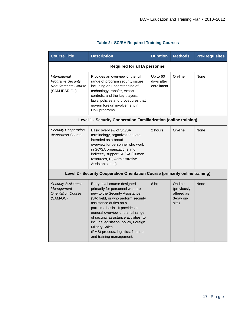| <b>Course Title</b>                                                                                    | <b>Description</b>                                                                                                                                                                                                                                                                                                                                                                                                    | <b>Duration</b>                      | <b>Methods</b>                                             | <b>Pre-Requisites</b> |
|--------------------------------------------------------------------------------------------------------|-----------------------------------------------------------------------------------------------------------------------------------------------------------------------------------------------------------------------------------------------------------------------------------------------------------------------------------------------------------------------------------------------------------------------|--------------------------------------|------------------------------------------------------------|-----------------------|
|                                                                                                        | <b>Required for all IA personnel</b>                                                                                                                                                                                                                                                                                                                                                                                  |                                      |                                                            |                       |
| <i><b>International</b></i><br><b>Programs Security</b><br><b>Requirements Course</b><br>(SAM-IPSR OL) | Provides an overview of the full<br>range of program security issues<br>including an understanding of<br>technology transfer, export<br>controls, and the key players,<br>laws, policies and procedures that<br>govern foreign involvement in<br>DoD programs.                                                                                                                                                        | Up to 60<br>days after<br>enrollment | On-line                                                    | None                  |
|                                                                                                        | Level 1 - Security Cooperation Familiarization (online training)                                                                                                                                                                                                                                                                                                                                                      |                                      |                                                            |                       |
| <b>Security Cooperation</b><br>Awareness Course                                                        | Basic overview of SC/SA<br>terminology, organizations, etc.<br>intended as a broad<br>overview for personnel who work<br>in SC/SA organizations and<br>indirectly support SC/SA (Human<br>resources, IT, Administrative<br>Assistants, etc.)                                                                                                                                                                          | 2 hours                              | On-line                                                    | None                  |
|                                                                                                        | Level 2 - Security Cooperation Orientation Course (primarily online training)                                                                                                                                                                                                                                                                                                                                         |                                      |                                                            |                       |
| <b>Security Assistance</b><br>Management<br><b>Orientation Course</b><br>(SAM-OC)                      | Entry-level course designed<br>primarily for personnel who are<br>new to the Security Assistance<br>(SA) field, or who perform security<br>assistance duties on a<br>part-time basis. It provides a<br>general overview of the full range<br>of security assistance activities, to<br>include legislation, policy, Foreign<br><b>Military Sales</b><br>(FMS) process, logistics, finance,<br>and training management. | 8 hrs                                | On-line<br>(previously<br>offered as<br>3-day on-<br>site) | None                  |

## **Table 2: SC/SA Required Training Courses**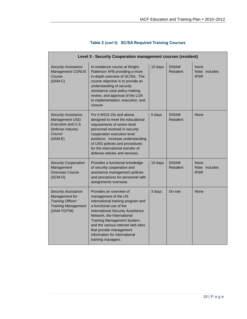|                                                                                                                | Level 3 - Security Cooperation management courses (resident)                                                                                                                                                                                                                                                                                      |         |                                 |                                       |
|----------------------------------------------------------------------------------------------------------------|---------------------------------------------------------------------------------------------------------------------------------------------------------------------------------------------------------------------------------------------------------------------------------------------------------------------------------------------------|---------|---------------------------------|---------------------------------------|
| <b>Security Assistance</b><br>Management CONUS<br>Course<br>$(SAM-C)$                                          | In-residence course at Wright-<br>Patterson AFB providing a more<br>in-depth overview of SC/SA. The<br>course objective is to provide an<br>understanding of security<br>assistance case policy-making,<br>review, and approval of the LOA<br>to implementation, execution, and<br>closure.                                                       | 10 days | <b>DISAM</b><br>Resident        | None<br>Note: includes<br><b>IPSR</b> |
| <b>Security Assistance</b><br>Management USG<br>Executive and U.S.<br>Defense Industry<br>Course<br>$(SAM-E)$  | For 0-6/GS-15s and above,<br>designed to meet the educational<br>requirements of senior-level<br>personnel involved in security<br>cooperation executive level<br>positions. Increase understanding<br>of USG policies and procedures<br>for the international transfer of<br>defense articles and services.                                      | 5 days  | <b>DISAM</b><br>Resident        | None                                  |
| <b>Security Cooperation</b><br>Management<br>Overseas Course<br>$(SCM-O)$                                      | Provides a functional knowledge<br>of security cooperation and<br>assistance management policies<br>and procedures for personnel with<br>assignments overseas.                                                                                                                                                                                    | 10 days | <b>DISAM</b><br><b>Resident</b> | None<br>Note: includes<br><b>IPSR</b> |
| <b>Security Assistance</b><br>Management for<br>Training Officer/<br><b>Training Management</b><br>(SAM-TO/TM) | Provides an overview of<br>management of the US<br>international training program and<br>a functional use of the<br><b>International Security Assistance</b><br>Network, the International<br>Training Management System,<br>and the various internet web sites<br>that provide management<br>information for international<br>training managers. | 3 days  | On-site                         | None                                  |

## **Table 2 (con't): SC/SA Required Training Courses**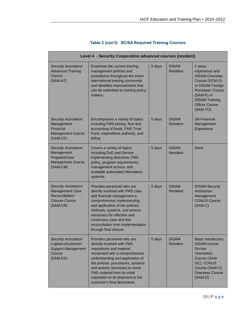|                                                                                                              | Level 4 - Security Cooperation advanced courses (resident)                                                                                                                                                                                                                                                                                      |        |                          |                                                                                                                                                                                                 |
|--------------------------------------------------------------------------------------------------------------|-------------------------------------------------------------------------------------------------------------------------------------------------------------------------------------------------------------------------------------------------------------------------------------------------------------------------------------------------|--------|--------------------------|-------------------------------------------------------------------------------------------------------------------------------------------------------------------------------------------------|
| <b>Security Assistance</b><br><b>Advanced Training</b><br>Course<br>(SAM-AT)                                 | Examines the current training<br>management policies and<br>procedures throughout the entire<br>international training community<br>and identifies improvements that<br>can be submitted to training policy<br>makers.                                                                                                                          | 5 days | <b>DISAM</b><br>Resident | 2 years<br>experience and<br><b>DISAM Overseas</b><br>Course (SCM-O)<br>or DISAM Foreign<br><b>Purchaser Course</b><br>(SAM-F) or<br><b>DISAM Training</b><br><b>Officer Course</b><br>(SAM-TO) |
| <b>Security Assistance</b><br>Management<br>Financial<br><b>Management Course</b><br>(SAM-CF)                | Encompasses a variety of topics<br>including FMS pricing, flow and<br>accounting of funds, FMS Trust<br>Fund, expenditure authority, and<br>billing                                                                                                                                                                                             | 5 days | <b>DISAM</b><br>Resident | <b>SA Financial</b><br>Management<br>Experience                                                                                                                                                 |
| <b>Security Assistance</b><br>Management<br>Program/Case<br><b>Management Course</b><br>(SAM-CM)             | Covers a variety of topics<br>including DoD and Service<br>implementing directives; FMS<br>policy, program requirements,<br>management actions; and<br>available automated information<br>systems.                                                                                                                                              | 5 days | <b>DISAM</b><br>Resident | <b>None</b>                                                                                                                                                                                     |
| <b>Security Assistance</b><br><b>Management Case</b><br>Reconciliation/<br><b>Closure Course</b><br>(SAM-CR) | Provides personnel who are<br>directly involved with FMS case<br>and financial management a<br>comprehensive understanding<br>and application of the policies,<br>methods, systems, and actions<br>necessary for effective and<br>continuous case and line<br>reconciliation from implementation<br>through final closure.                      | 5 days | <b>DISAM</b><br>Resident | <b>DISAM Security</b><br>Assistance<br>Management<br><b>CONUS Course</b><br>$(SAM-C)$                                                                                                           |
| <b>Security Assistance</b><br>Logistics/Customer<br><b>Support Management</b><br>Course<br>(SAM-CS)          | Provides personnel who are<br>directly involved with FMS<br>requisitions and materiel<br>movement with a comprehensive<br>understanding and application of<br>the policies, procedures, systems<br>and actions necessary to move<br><b>FMS</b> materiel from its initial<br>requisition to its shipment to the<br>customer's final destination. | 5 days | <b>DISAM</b><br>Resident | <b>Basic introductory</b><br><b>DISAM</b> course:<br>On-line<br>Orientation<br>Course (SAM-<br>OC); CONUS<br>Course (SAM-C);<br><b>Overseas Course</b><br>$(SAM-O)$                             |

## **Table 2 (con't): SC/SA Required Training Courses**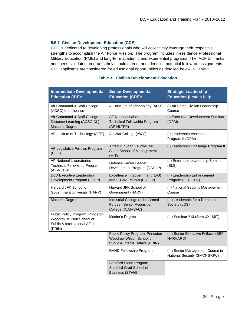#### **5.5.1 Civilian Development Education (CDE)**

CDE is dedicated to developing professionals who will collectively leverage their respective strengths to accomplish the Air Force Mission. The program includes in-residence Professional Military Education (PME) and long-term academic and experiential programs. The IACF DT ranks nominees, validates programs they should attend, and identifies potential follow-on assignments. CDE applicants are considered for educational opportunities as detailed below in Table 3.

| <b>Intermediate Developmental</b><br><b>Education (IDE):</b>                                             | <b>Senior Developmental</b><br><b>Education (SDE):</b>                                            | <b>Strategic Leadership</b><br><b>Education (Levels I-III):</b>   |
|----------------------------------------------------------------------------------------------------------|---------------------------------------------------------------------------------------------------|-------------------------------------------------------------------|
| Air Command & Staff College<br>(ACSC) In residence                                                       | AF Institute of Technology (AFIT)                                                                 | (I) Air Force Civilian Leadership<br>Course                       |
| Air Command & Staff College<br>Distance Learning (ACSC-DL)<br>Master's Degree                            | <b>AF National Laboratories</b><br><b>Technical Fellowship Program</b><br>(AF-NLTFP)              | (I) Executive Development Seminar<br>(OPM)                        |
| AF Institute of Technology (AFIT)                                                                        | Air War College (AWC)                                                                             | (I) Leadership Assessment<br>Program II (OPM)                     |
| AF Legislative Fellows Program<br>(HILL)                                                                 | Alfred P. Sloan Fellows, MIT<br>Sloan School of Management<br>(MIT)                               | (I) Leadership Challenge Program II                               |
| <b>AF National Laboratories</b><br>Technical Fellowship Program<br>(AF-NLTFP)                            | Defense Senior Leader<br>Development Program (DSDLP)                                              | (II) Enterprise Leadership Seminar<br>(ELS)                       |
| <b>DoD Executive Leadership</b><br>Development Program (ELDP)                                            | Excellence in Government (EIG)<br>and E-Gov Fellows (E-GOV)                                       | (II) Leadership Enhancement<br>Program (LEP-CCL)                  |
| Harvard JFK School of<br>Government University (HARV)                                                    | Harvard JFK School of<br>Government (HARV)                                                        | (II) National Security Management<br>Course                       |
| Master's Degree                                                                                          | Industrial College of the Armed<br>Forces -Senior Acquisition<br>College (ICAF-SAC)               | (III) Leadership for a Democratic<br>Society (LDS)                |
| Public Policy Program, Princeton<br>Woodrow Wilson School of<br>Public & International Affairs<br>(PRIN) | Master's Degree                                                                                   | (III) Seminar XXI (Sem XXI-MIT)                                   |
|                                                                                                          | Public Policy Program, Princeton<br>Woodrow Wilson School of<br>Public & Internt'l Affairs (PRIN) | (III) Senior Executive Fellows (SEF-<br>HARVARD)                  |
|                                                                                                          | RAND Fellowship Program                                                                           | (III) Senior Management Course in<br>National Security (SMCNS-GW) |
|                                                                                                          | Stanford Sloan Program,<br>Stanford Grad School of<br><b>Business (STAN)</b>                      |                                                                   |

#### **Table 3: Civilian Development Education**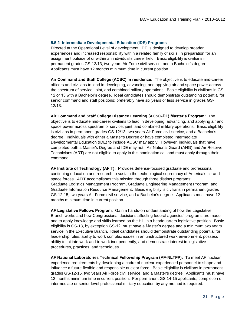#### **5.5.2 Intermediate Developmental Education (IDE) Programs**

Directed at the Operational Level of development, IDE is designed to develop broader experiences and increased responsibility within a related family of skills, in preparation for an assignment outside of or within an individual's career field. Basic eligibility is civilians in permanent grades GS-12/13, two years Air Force civil service, and a Bachelor's degree. Applicants must have 12 months minimum time in current position.

**Air Command and Staff College (ACSC) In residence:** The objective is to educate mid-career officers and civilians to lead in developing, advancing, and applying air and space power across the spectrum of service, joint, and combined military operations. Basic eligibility is civilians in GS-12 or 13 with a Bachelor's degree. Ideal candidates should demonstrate outstanding potential for senior command and staff positions; preferably have six years or less service in grades GS-12/13.

**Air Command and Staff College Distance Learning (ACSC-DL) Master's Program:** The objective is to educate mid-career civilians to lead in developing, advancing, and applying air and space power across spectrum of service, joint, and combined military operations. Basic eligibility is civilians in permanent grades GS-12/13, two years Air Force civil service, and a Bachelor's degree. Individuals with either a Master's Degree or have completed Intermediate Developmental Education (IDE) to include ACSC may apply. However, individuals that have completed both a Master's Degree and IDE may not. Air National Guard (ANG) and Air Reserve Technicians (ART) are not eligible to apply in this nomination call and must apply through their command.

**AF Institute of Technology (AFIT):** Provides defense-focused graduate and professional continuing education and research to sustain the technological supremacy of America's air and space forces. AFIT accomplishes this mission through three distinct programs: Graduate Logistics Management Program, Graduate Engineering Management Program, and Graduate Information Resource Management. Basic eligibility is civilians in permanent grades GS-12-15, two years Air Force civil service, and a Bachelor's degree. Applicants must have 12 months minimum time in current position.

**AF Legislative Fellows Program**: Gain a hands-on understanding of how the Legislative Branch works and how Congressional decisions affecting federal agencies' programs are made and to apply knowledge and skills learned on the Hill in a headquarters legislative position. Basic eligibility is GS-13, by exception GS-12; must have a Master's degree and a minimum two years service in the Executive Branch. Ideal candidates should demonstrate outstanding potential for leadership roles, ability to work complex issues in an unstructured work environment, possess ability to initiate work and to work independently, and demonstrate interest in legislative procedures, practices, and techniques.

**AF National Laboratories Technical Fellowship Program (AF-NLTFP):** To meet AF nuclear experience requirements by developing a cadre of nuclear-experienced personnel to shape and influence a future flexible and responsible nuclear force. Basic eligibility is civilians in permanent grades GS-12-15, two years Air Force civil service, and a Master's degree. Applicants must have 12 months minimum time in current position. For permanent GS 14-15 applicants, completion of intermediate or senior level professional military education by any method is required.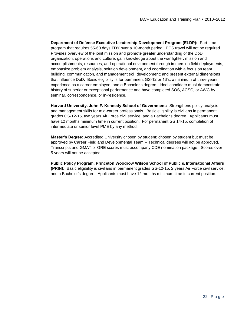**Department of Defense Executive Leadership Development Program (ELDP):** Part-time program that requires 55-60 days TDY over a 10-month period. PCS travel will not be required. Provides overview of the joint mission and promote greater understanding of the DoD organization, operations and culture; gain knowledge about the war fighter, mission and accomplishments, resources, and operational environment through immersion field deployments; emphasize problem analysis, solution development, and coordination with a focus on team building, communication, and management skill development; and present external dimensions that influence DoD. Basic eligibility is for permanent GS-12 or 13's, a minimum of three years experience as a career employee, and a Bachelor's degree. Ideal candidate must demonstrate history of superior or exceptional performance and have completed SOS, ACSC, or AWC by seminar, correspondence, or in-residence.

**Harvard University, John F. Kennedy School of Government:** Strengthens policy analysis and management skills for mid-career professionals. Basic eligibility is civilians in permanent grades GS-12-15, two years Air Force civil service, and a Bachelor's degree. Applicants must have 12 months minimum time in current position. For permanent GS 14-15, completion of intermediate or senior level PME by any method.

**Master's Degree:** Accredited University chosen by student; chosen by student but must be approved by Career Field and Developmental Team – Technical degrees will not be approved. Transcripts and GMAT or GRE scores must accompany CDE nomination package. Scores over 5 years will not be accepted.

**Public Policy Program, Princeton Woodrow Wilson School of Public & International Affairs (PRIN):** Basic eligibility is civilians in permanent grades GS-12-15, 2 years Air Force civil service, and a Bachelor's degree. Applicants must have 12 months minimum time in current position.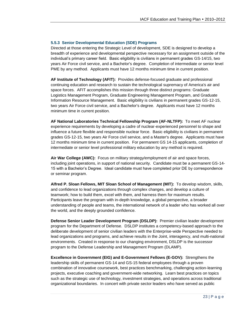#### **5.5.3 Senior Developmental Education (SDE) Programs**

Directed at those entering the Strategic Level of development, SDE is designed to develop a breadth of experience and developmental perspective necessary for an assignment outside of the individual's primary career field. Basic eligibility is civilians in permanent grades GS-14/15, two years Air Force civil service, and a Bachelor's degree. Completion of intermediate or senior level PME by any method. Applicants must have 12 months minimum time in current position.

**AF Institute of Technology (AFIT):** Provides defense-focused graduate and professional continuing education and research to sustain the technological supremacy of America's air and space forces. AFIT accomplishes this mission through three distinct programs: Graduate Logistics Management Program, Graduate Engineering Management Program, and Graduate Information Resource Management. Basic eligibility is civilians in permanent grades GS-12-15, two years Air Force civil service, and a Bachelor's degree. Applicants must have 12 months minimum time in current position.

**AF National Laboratories Technical Fellowship Program (AF-NLTFP):** To meet AF nuclear experience requirements by developing a cadre of nuclear-experienced personnel to shape and influence a future flexible and responsible nuclear force. Basic eligibility is civilians in permanent grades GS-12-15, two years Air Force civil service, and a Master's degree. Applicants must have 12 months minimum time in current position. For permanent GS 14-15 applicants, completion of intermediate or senior level professional military education by any method is required.

**Air War College (AWC):** Focus on military strategy/employment of air and space forces, including joint operations, in support of national security. Candidate must be a permanent GS-14- 15 with a Bachelor's Degree. Ideal candidate must have completed prior DE by correspondence or seminar program.

**Alfred P. Sloan Fellows, MIT Sloan School of Management (MIT):** To develop wisdom, skills, and confidence to lead organizations through complex changes, and develop a culture of teamwork; how to build them, excel with them, and harness them for maximum results. Participants leave the program with in-depth knowledge, a global perspective, a broader understanding of people and teams, the international network of a leader who has worked all over the world, and the deeply grounded confidence.

**Defense Senior Leader Development Program (DSLDP):** Premier civilian leader development program for the Department of Defense. DSLDP institutes a competency-based approach to the deliberate development of senior civilian leaders with the Enterprise-wide Perspective needed to lead organizations and programs, and achieve results in the Joint, interagency, and multi-national environments. Created in response to our changing environment, DSLDP is the successor program to the Defense Leadership and Management Program (DLAMP).

**Excellence in Government (EIG) and E-Government Fellows (E-GOV):** Strengthens the leadership skills of permanent GS-14 and GS-15 federal employees through a proven combination of innovative coursework, best practices benchmarking, challenging action-learning projects, executive coaching and government-wide networking. Learn best practices on topics such as the strategic use of technology, investment strategies, and operations across traditional organizational boundaries. In concert with private sector leaders who have served as public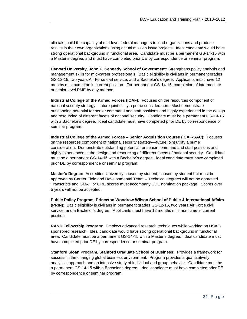officials, build the capacity of mid-level federal managers to lead organizations and produce results in their own organizations using actual mission issue projects. Ideal candidate would have strong operational background in functional area. Candidate must be a permanent GS-14-15 with a Master's degree, and must have completed prior DE by correspondence or seminar program.

**Harvard University, John F. Kennedy School of Government:** Strengthens policy analysis and management skills for mid-career professionals. Basic eligibility is civilians in permanent grades GS-12-15, two years Air Force civil service, and a Bachelor's degree. Applicants must have 12 months minimum time in current position. For permanent GS-14-15, completion of intermediate or senior level PME by any method.

**Industrial College of the Armed Forces (ICAF):** Focuses on the resources component of national security strategy—future joint utility a prime consideration. Must demonstrate outstanding potential for senior command and staff positions and highly experienced in the design and resourcing of different facets of national security. Candidate must be a permanent GS-14-15 with a Bachelor's degree. Ideal candidate must have completed prior DE by correspondence or seminar program.

**Industrial College of the Armed Forces – Senior Acquisition Course (ICAF-SAC):** Focuses on the resources component of national security strategy—future joint utility a prime consideration. Demonstrate outstanding potential for senior command and staff positions and highly experienced in the design and resourcing of different facets of national security. Candidate must be a permanent GS-14-15 with a Bachelor's degree. Ideal candidate must have completed prior DE by correspondence or seminar program.

**Master's Degree:** Accredited University chosen by student; chosen by student but must be approved by Career Field and Developmental Team – Technical degrees will not be approved. Transcripts and GMAT or GRE scores must accompany CDE nomination package. Scores over 5 years will not be accepted.

**Public Policy Program, Princeton Woodrow Wilson School of Public & International Affairs (PRIN):** Basic eligibility is civilians in permanent grades GS-12-15, two years Air Force civil service, and a Bachelor's degree. Applicants must have 12 months minimum time in current position.

**RAND Fellowship Program:** Employs advanced research techniques while working on USAFsponsored research. Ideal candidate would have strong operational background in functional area. Candidate must be a permanent GS-14-15 with a Master's degree. Ideal candidate must have completed prior DE by correspondence or seminar program.

**Stanford Sloan Program, Stanford Graduate School of Business:** Provides a framework for success in the changing global business environment. Program provides a quantitatively analytical approach and an intensive study of individual and group behavior. Candidate must be a permanent GS-14-15 with a Bachelor's degree. Ideal candidate must have completed prior DE by correspondence or seminar program.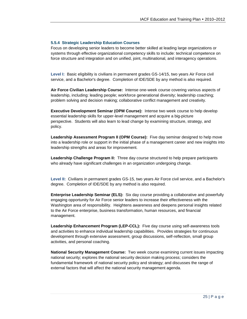#### **5.5.4 Strategic Leadership Education Courses**

Focus on developing senior leaders to become better skilled at leading large organizations or systems through effective organizational competency skills to include: technical competence on force structure and integration and on unified, joint, multinational, and interagency operations.

**Level I:** Basic eligibility is civilians in permanent grades GS-14/15, two years Air Force civil service, and a Bachelor's degree. Completion of IDE/SDE by any method is also required.

**Air Force Civilian Leadership Course:** Intense one-week course covering various aspects of leadership, including: leading people; workforce generational diversity; leadership coaching; problem solving and decision making; collaborative conflict management and creativity.

**Executive Development Seminar (OPM Course):** Intense two week course to help develop essential leadership skills for upper-level management and acquire a big-picture perspective. Students will also learn to lead change by examining structure, strategy, and policy.

**Leadership Assessment Program II (OPM Course):** Five day seminar designed to help move into a leadership role or support in the initial phase of a management career and new insights into leadership strengths and areas for improvement.

**Leadership Challenge Program II:** Three day course structured to help prepare participants who already have significant challenges in an organization undergoing change.

**Level II:** Civilians in permanent grades GS-15, two years Air Force civil service, and a Bachelor's degree. Completion of IDE/SDE by any method is also required.

**Enterprise Leadership Seminar (ELS):** Six day course providing a collaborative and powerfully engaging opportunity for Air Force senior leaders to increase their effectiveness with the Washington area of responsibility. Heightens awareness and deepens personal insights related to the Air Force enterprise, business transformation, human resources, and financial management.

Leadership Enhancement Program (LEP-CCL): Five day course using self-awareness tools and activities to enhance individual leadership capabilities. Provides strategies for continuous development through extensive assessment, group discussions, self-reflection, small group activities, and personal coaching.

**National Security Management Course:** Two week course examining current issues impacting national security; explores the national security decision making process; considers the fundamental framework of national security policy and strategy; and discusses the range of external factors that will affect the national security management agenda.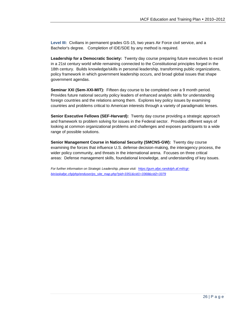**Level III:** Civilians in permanent grades GS-15, two years Air Force civil service, and a Bachelor's degree. Completion of IDE/SDE by any method is required.

**Leadership for a Democratic Society:** Twenty day course preparing future executives to excel in a 21st century world while remaining connected to the Constitutional principles forged in the 18th century. Builds knowledge/skills in personal leadership, transforming public organizations, policy framework in which government leadership occurs, and broad global issues that shape government agendas.

**Seminar XXI (Sem-XXI-MIT):** Fifteen day course to be completed over a 9 month period. Provides future national security policy leaders of enhanced analytic skills for understanding foreign countries and the relations among them. Explores key policy issues by examining countries and problems critical to American interests through a variety of paradigmatic lenses.

**Senior Executive Fellows (SEF-Harvard):** Twenty day course providing a strategic approach and framework to problem solving for issues in the Federal sector. Provides different ways of looking at common organizational problems and challenges and exposes participants to a wide range of possible solutions.

**Senior Management Course in National Security (SMCNS-GW):** Twenty day course examining the forces that influence U.S. defense decision-making, the interagency process, the wider policy community, and threats in the international arena. Focuses on three critical areas: Defense management skills, foundational knowledge, and understanding of key issues.

*For further information on Strategic Leadership, please visit: [https://gum.afpc.randolph.af.mil/cgi](https://gum.afpc.randolph.af.mil/cgi-bin/askafpc.cfg/php/enduser/ps_site_map.php?pid=3351&cid1=3368&cid2=3379)[bin/askafpc.cfg/php/enduser/ps\\_site\\_map.php?pid=3351&cid1=3368&cid2=3379](https://gum.afpc.randolph.af.mil/cgi-bin/askafpc.cfg/php/enduser/ps_site_map.php?pid=3351&cid1=3368&cid2=3379)*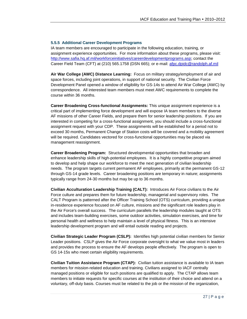#### **5.5.5 Additional Career Development Programs**

IA team members are encouraged to participate in the following education, training, or assignment experience opportunities. For more information about these programs, please visit: [http://www.safia.hq.af.mil/workforceinitiatives/careerdevelopmentprograms.asp;](http://www.safia.hq.af.mil/workforceinitiatives/careerdevelopmentprograms.asp) contact the Career Field Team (CFT) at (210) 565.1758 (DSN 665); or e-mail: [afpc.dpidc@randolph.af.mil](mailto:afpc.dpidc@randolph.af.mil)

**Air War College (AWC) Distance Learning:** Focus on military strategy/employment of air and space forces, including joint operations, in support of national security. The Civilian Force Development Panel opened a window of eligibility for GS-14s to attend Air War College (AWC) by correspondence. All interested team members must meet AWC requirements to complete the course within 36 months.

**Career Broadening Cross-functional Assignments:** This unique assignment experience is a critical part of implementing force development and will expose IA team members to the diverse AF missions of other Career Fields, and prepare them for senior leadership positions. If you are interested in competing for a cross-functional assignment, you should include a cross-functional assignment request with your CDP. These assignments will be established for a period not to exceed 30 months, Permanent Change of Station costs will be covered and a mobility agreement will be required. Candidates vectored for cross-functional opportunities may be placed via management reassignment.

**Career Broadening Program:** Structured developmental opportunities that broaden and enhance leadership skills of high-potential employees. It is a highly competitive program aimed to develop and help shape our workforce to meet the next generation of civilian leadership needs. The program targets current permanent AF employees, primarily at the permanent GS-12 through GS-14 grade levels. Career broadening positions are temporary in nature; assignments typically range from 24-30 months but may be up to 36 months.

**Civilian Acculturation Leadership Training (CALT):** Introduces Air Force civilians to the Air Force culture and prepares them for future leadership, managerial and supervisory roles. The CALT Program is patterned after the Officer Training School (OTS) curriculum, providing a unique in-residence experience focused on AF culture, missions and the significant role leaders play in the Air Force's overall success. The curriculum parallels the leadership modules taught at OTS and includes team-building exercises, some outdoor activities, simulation exercises, and time for personal health and wellness to help maintain a level of physical fitness. This is an intensive leadership development program and will entail outside reading and projects.

**Civilian Strategic Leader Program (CSLP):** Identifies high potential civilian members for Senior Leader positions. CSLP gives the Air Force corporate oversight to what we value most in leaders and provides the process to ensure the AF develops people effectively. The program is open to GS 14-15s who meet certain eligibility requirements.

**Civilian Tuition Assistance Program (CTAP):** Civilian tuition assistance is available to IA team members for mission-related education and training. Civilians assigned to IACF centrally managed positions or eligible for such positions are qualified to apply. The CTAP allows team members to initiate requests for specific courses at the institution of their choice and attend on a voluntary, off-duty basis. Courses must be related to the job or the mission of the organization,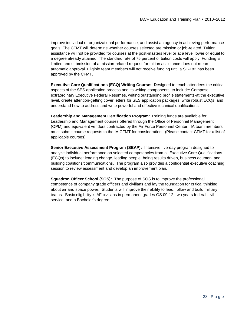improve individual or organizational performance, and assist an agency in achieving performance goals. The CFMT will determine whether courses selected are mission or job-related. Tuition assistance will not be provided for courses at the post-masters level or at a level lower or equal to a degree already attained. The standard rate of 75 percent of tuition costs will apply. Funding is limited and submission of a mission-related request for tuition assistance does not mean automatic approval. Eligible team members will not receive funding until a SF-182 has been approved by the CFMT.

**Executive Core Qualifications (ECQ) Writing Course: D**esigned to teach attendees the critical aspects of the SES application process and its writing components, to include: Compose extraordinary Executive Federal Resumes, writing outstanding profile statements-at the executive level, create attention-getting cover letters for SES application packages, write robust ECQs, and understand how to address and write powerful and effective technical qualifications.

**Leadership and Management Certification Program:** Training funds are available for Leadership and Management courses offered through the Office of Personnel Management (OPM) and equivalent vendors contracted by the Air Force Personnel Center. IA team members must submit course requests to the IA CFMT for consideration. (Please contact CFMT for a list of applicable courses)

**Senior Executive Assessment Program (SEAP):** Intensive five-day program designed to analyze individual performance on selected competencies from all Executive Core Qualifications (ECQs) to include: leading change, leading people, being results driven, business acumen, and building coalitions/communications. The program also provides a confidential executive coaching session to review assessment and develop an improvement plan.

**Squadron Officer School (SOS):** The purpose of SOS is to improve the professional competence of company grade officers and civilians and lay the foundation for critical thinking about air and space power. Students will improve their ability to lead, follow and build military teams. Basic eligibility is AF civilians in permanent grades GS 09-12, two years federal civil service, and a Bachelor's degree.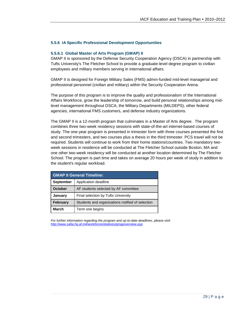#### **5.5.6 IA Specific Professional Development Opportunities**

#### **5.5.6.1 Global Master of Arts Program (GMAP) II**

GMAP II is sponsored by the Defense Security Cooperation Agency (DSCA) in partnership with Tufts University's The Fletcher School to provide a graduate-level degree program to civilian employees and military members serving in international affairs.

GMAP II is designed for Foreign Military Sales (FMS) admin-funded mid-level managerial and professional personnel (civilian and military) within the Security Cooperation Arena.

The purpose of this program is to improve the quality and professionalism of the International Affairs Workforce, grow the leadership of tomorrow, and build personal relationships among midlevel management throughout DSCA, the Military Departments (MILDEPS), other federal agencies, international FMS customers, and defense industry organizations.

The GMAP II is a 12-month program that culminates in a Master of Arts degree. The program combines three two-week residency sessions with state-of-the-art internet-based courses of study. The one-year program is presented in trimester form with three courses presented the first and second trimesters, and two courses plus a thesis in the third trimester. PCS travel will not be required. Students will continue to work from their home stations/countries. Two mandatory twoweek sessions in residence will be conducted at The Fletcher School outside Boston, MA and one other two-week residency will be conducted at another location determined by The Fletcher School. The program is part time and takes on average 20 hours per week of study in addition to the student's regular workload.

| <b>GMAP II General Timeline:</b>                                    |                 |  |  |
|---------------------------------------------------------------------|-----------------|--|--|
| <b>September</b><br>Application deadline                            |                 |  |  |
| <b>October</b><br>AF students selected by AF committee              |                 |  |  |
| January<br>Final selection by Tufts University                      |                 |  |  |
| <b>February</b><br>Students and organizations notified of selection |                 |  |  |
| March                                                               | Term one begins |  |  |

*For further information regarding the program and up-to-date deadlines, please visit: <http://www.safia.hq.af.mil/workforceinitiatives/gmapoverview.asp>*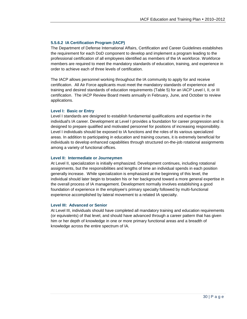#### **5.5.6.2 IA Certification Program (IACP)**

The Department of Defense International Affairs, Certification and Career Guidelines establishes the requirement for each DoD component to develop and implement a program leading to the professional certification of all employees identified as members of the IA workforce. Workforce members are required to meet the mandatory standards of education, training, and experience in order to achieve each of three levels of certification.

The IACP allows personnel working throughout the IA community to apply for and receive certification. All Air Force applicants must meet the mandatory standards of experience and training and desired standards of education requirements (Table 5) for an IACP Level I, II, or III certification. The IACP Review Board meets annually in February, June, and October to review applications.

#### **Level I: Basic or Entry**

Level I standards are designed to establish fundamental qualifications and expertise in the individual's IA career. Development at Level I provides a foundation for career progression and is designed to prepare qualified and motivated personnel for positions of increasing responsibility. Level I individuals should be exposed to IA functions and the roles of its various specialized areas. In addition to participating in education and training courses, it is extremely beneficial for individuals to develop enhanced capabilities through structured on-the-job rotational assignments among a variety of functional offices.

#### **Level II: Intermediate or Journeymen**

At Level II, specialization is initially emphasized. Development continues, including rotational assignments, but the responsibilities and lengths of time an individual spends in each position generally increase. While specialization is emphasized at the beginning of this level, the individual should later begin to broaden his or her background toward a more general expertise in the overall process of IA management. Development normally involves establishing a good foundation of experience in the employee's primary specialty followed by multi-functional experience accomplished by lateral movement to a related IA specialty.

#### **Level III: Advanced or Senior**

At Level III, individuals should have completed all mandatory training and education requirements (or equivalents) of that level, and should have advanced through a career pattern that has given him or her depth of knowledge in one or more primary functional areas and a breadth of knowledge across the entire spectrum of IA.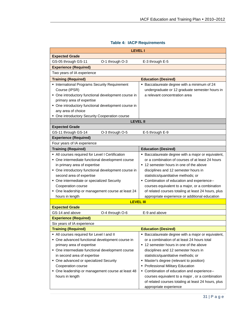| <b>LEVEL I</b>                                      |                                                     |  |  |
|-----------------------------------------------------|-----------------------------------------------------|--|--|
| <b>Expected Grade</b>                               |                                                     |  |  |
| GS-05 through GS-11<br>O-1 through O-3              | E-3 through E-5                                     |  |  |
| <b>Experience (Required)</b>                        |                                                     |  |  |
| Two years of IA experience                          |                                                     |  |  |
| <b>Training (Required)</b>                          | <b>Education (Desired)</b>                          |  |  |
| • International Programs Security Requirement       | • Baccalaureate degree with a minimum of 24         |  |  |
| Course (IPSR)                                       | undergraduate or 12 graduate semester hours in      |  |  |
| • One introductory functional development course in | a relevant concentration area                       |  |  |
| primary area of expertise                           |                                                     |  |  |
| • One introductory functional development course in |                                                     |  |  |
| any area of choice                                  |                                                     |  |  |
| • One introductory Security Cooperation course      |                                                     |  |  |
| <b>LEVEL II</b>                                     |                                                     |  |  |
| <b>Expected Grade</b>                               |                                                     |  |  |
| GS-11 through GS-14<br>O-3 through O-5              | E-5 through E-9                                     |  |  |
| <b>Experience (Required)</b>                        |                                                     |  |  |
| Four years of IA experience                         |                                                     |  |  |
| <b>Training (Required)</b>                          | <b>Education (Desired)</b>                          |  |  |
| • All courses required for Level I Certification    | • Baccalaureate degree with a major or equivalent,  |  |  |
| • One intermediate functional development course    | or a combination of courses of at least 24 hours    |  |  |
| in primary area of expertise                        | ■ 12 semester hours in one of the above             |  |  |
| • One introductory functional development course in | disciplines and 12 semester hours in                |  |  |
| second area of expertise                            | statistics/quantitative methods; or                 |  |  |
| • One intermediate or specialized Security          | • Combination of education and experience--         |  |  |
| Cooperation course                                  | courses equivalent to a major, or a combination     |  |  |
| • One leadership or management course at least 24   | of related courses totaling at least 24 hours, plus |  |  |
| hours in length                                     | appropriate experience or additional education      |  |  |
| <b>LEVEL III</b>                                    |                                                     |  |  |
| <b>Expected Grade</b>                               |                                                     |  |  |
| GS-14 and above<br>O-4 through O-6                  | E-9 and above                                       |  |  |
| <b>Experience (Required)</b>                        |                                                     |  |  |
| Six years of IA experience                          |                                                     |  |  |
| <b>Training (Required)</b>                          | <b>Education (Desired)</b>                          |  |  |
| • All courses required for Level I and II           | • Baccalaureate degree with a major or equivalent,  |  |  |
| • One advanced functional development course in     | or a combination of at least 24 hours total         |  |  |
| primary area of expertise                           | ■ 12 semester hours in one of the above             |  |  |
| • One intermediate functional development course    | disciplines and 12 semester hours in                |  |  |
| in second area of expertise                         | statistics/quantitative methods; or                 |  |  |
| • One advanced or specialized Security              | • Master's degree (relevant to position)            |  |  |
| Cooperation course                                  | • Professional Military Education                   |  |  |
| • One leadership or management course at least 48   | • Combination of education and experience--         |  |  |
| hours in length                                     | courses equivalent to a major, or a combination     |  |  |
|                                                     | of related courses totaling at least 24 hours, plus |  |  |
|                                                     | appropriate experience                              |  |  |

## **Table 4: IACP Requirements**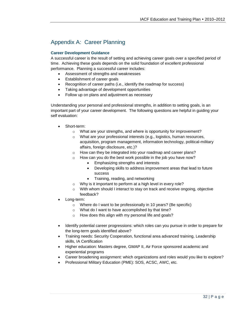# Appendix A: Career Planning

#### **Career Development Guidance**

A successful career is the result of setting and achieving career goals over a specified period of time. Achieving these goals depends on the solid foundation of excellent professional performance. Planning a successful career includes:

- Assessment of strengths and weaknesses
- Establishment of career goals
- Recognition of career paths (i.e., identify the roadmap for success)
- Taking advantage of development opportunities
- Follow up on plans and adjustment as necessary

Understanding your personal and professional strengths, in addition to setting goals, is an important part of your career development. The following questions are helpful in guiding your self evaluation:

- Short-term:
	- o What are your strengths, and where is opportunity for improvement?
	- o What are your professional interests (e.g., logistics, human resources, acquisition, program management, information technology, political-military affairs, foreign disclosure, etc.)?
	- o How can they be integrated into your roadmap and career plans?
	- o How can you do the best work possible in the job you have now?
		- Emphasizing strengths and interests
		- Developing skills to address improvement areas that lead to future success
		- Training, reading, and networking
	- o Why is it important to perform at a high level in every role?
	- $\circ$  With whom should I interact to stay on track and receive ongoing, objective feedback?
- Long-term:
	- o Where do I want to be professionally in 10 years? (Be specific)
	- o What do I want to have accomplished by that time?
	- o How does this align with my personal life and goals?
- Identify potential career progressions: which roles can you pursue in order to prepare for the long-term goals identified above?
- Training needs: Security Cooperation, functional area advanced training, Leadership skills, IA Certification
- Higher education: Masters degree, GMAP II, Air Force sponsored academic and experiential programs
- Career broadening assignment: which organizations and roles would you like to explore?
- Professional Military Education (PME): SOS, ACSC, AWC, etc.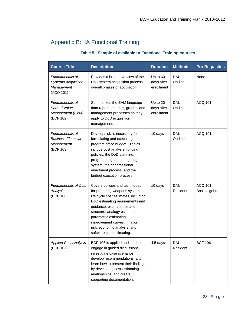# Appendix B: IA Functional Training

## **Table 5: Sample of available IA Functional Training courses**

| <b>Course Title</b>                                                            | <b>Description</b>                                                                                                                                                                                                                                                                                                                 | <b>Duration</b>                        | <b>Methods</b>         | <b>Pre-Requisites</b>           |
|--------------------------------------------------------------------------------|------------------------------------------------------------------------------------------------------------------------------------------------------------------------------------------------------------------------------------------------------------------------------------------------------------------------------------|----------------------------------------|------------------------|---------------------------------|
| Fundamentals of<br><b>Systems Acquisition</b><br>Management<br>(ACQ 101)       | Provides a broad overview of the<br>DoD system acquisition process,<br>overall phases of acquisition.                                                                                                                                                                                                                              | Up to 60<br>days after<br>enrollment   | <b>DAU</b><br>On-line  | None                            |
| Fundamentals of<br><b>Earned Value</b><br>Management (EVM)<br>(BCF 102)        | Summarizes the EVM language<br>data reports, metrics, graphs, and<br>management processes as they<br>apply to DoD acquisition<br>management.                                                                                                                                                                                       | Up to $20$<br>days after<br>enrollment | <b>DAU</b><br>On-line  | <b>ACQ 101</b>                  |
| <b>Fundamentals of</b><br><b>Business Financial</b><br>Management<br>(BCF 103) | Develops skills necessary for<br>formulating and executing a<br>program office budget. Topics<br>include cost analysis; funding<br>policies; the DoD planning,<br>programming, and budgeting<br>system; the congressional<br>enactment process; and the<br>budget execution process.                                               | 10 days                                | <b>DAU</b><br>On-line  | <b>ACQ 101</b>                  |
| <b>Fundamentals of Cost</b><br>Analysis<br>(BCF 106)                           | Covers policies and techniques<br>for preparing weapons systems<br>life cycle cost estimates, including<br>DoD estimating requirements and<br>guidance, estimate use and<br>structure, analogy estimates,<br>parametric estimating,<br>improvement curves, inflation,<br>risk, economic analysis, and<br>software cost estimating. | 10 days                                | <b>DAU</b><br>Resident | <b>ACQ 101</b><br>Basic algebra |
| <b>Applied Cost Analysis</b><br>(BCF 107)                                      | BCF 106 is applied and students<br>engage in guided discussions,<br>investigate case scenarios,<br>develop recommendations, and<br>learn how to present their findings<br>by developing cost-estimating<br>relationships, and create<br>supporting documentation.                                                                  | 4.5 days                               | DAU<br>Resident        | BCF 106                         |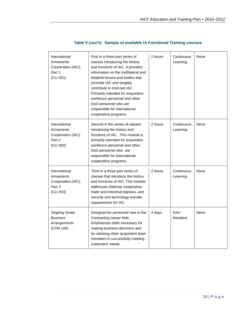| International<br><b>Armaments</b><br>Cooperation (IAC),<br>Part 1<br>(CLI 001)               | First in a three-part series of<br>classes introducing the history<br>and functions of IAC. It provides<br>information on the multilateral and<br>bilateral forums and bodies that<br>promote IAC and tangibly<br>contribute to DoD-led IAC.<br>Primarily intended for acquisition<br>workforce personnel and other<br>DoD personnel who are<br>responsible for international<br>cooperative programs. | 2 hours | Continuous<br>Learning | None |
|----------------------------------------------------------------------------------------------|--------------------------------------------------------------------------------------------------------------------------------------------------------------------------------------------------------------------------------------------------------------------------------------------------------------------------------------------------------------------------------------------------------|---------|------------------------|------|
| <i><b>International</b></i><br><b>Armaments</b><br>Cooperation (IAC),<br>Part 2<br>(CLI 002) | Second in the series of classes<br>introducing the history and<br>functions of IAC. This module is<br>primarily intended for acquisition<br>workforce personnel and other<br>DoD personnel who are<br>responsible for international<br>cooperative programs.                                                                                                                                           | 2 hours | Continuous<br>Learning | None |
| <i><b>International</b></i><br><b>Armaments</b><br>Cooperation (IAC),<br>Part 3<br>(CLI 003) | Third in a three-part series of<br>classes that introduce the history<br>and functions of IAC. This module<br>addresses Defense cooperative<br>trade and industrial logistics, and<br>security and technology transfer<br>requirements for IAC.                                                                                                                                                        | 2 hours | Continuous<br>Learning | None |
| <b>Shaping Smart</b><br><b>Business</b><br>Arrangements<br>(CON 100)                         | Designed for personnel new to the<br>Contracting career field.<br>Emphasizes skills necessary for<br>making business decisions and<br>for advising other acquisition team<br>members in successfully meeting<br>customers' needs.                                                                                                                                                                      | 4 days  | <b>DAU</b><br>Resident | None |

## **Table 5 (con't): Sample of available IA Functional Training courses**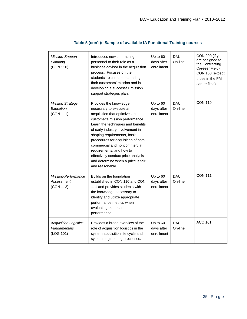| Mission-Support<br>Planning<br>(CON 110)                         | Introduces new contracting<br>personnel to their role as a<br>business advisor in the acquisition<br>process. Focuses on the<br>students' role in understanding<br>their customers' mission and in<br>developing a successful mission<br>support strategies plan.                                                                                                                                                               | Up to 60<br>days after<br>enrollment | <b>DAU</b><br>On-line | CON 090 (if you<br>are assigned to<br>the Contracting<br>Careeer Field)<br>CON 100 (except<br>those in the PM<br>career field) |
|------------------------------------------------------------------|---------------------------------------------------------------------------------------------------------------------------------------------------------------------------------------------------------------------------------------------------------------------------------------------------------------------------------------------------------------------------------------------------------------------------------|--------------------------------------|-----------------------|--------------------------------------------------------------------------------------------------------------------------------|
| <b>Mission Strategy</b><br>Execution<br>(CON 111)                | Provides the knowledge<br>necessary to execute an<br>acquisition that optimizes the<br>customer's mission performance.<br>Learn the techniques and benefits<br>of early industry involvement in<br>shaping requirements, basic<br>procedures for acquisition of both<br>commercial and noncommercial<br>requirements, and how to<br>effectively conduct price analysis<br>and determine when a price is fair<br>and reasonable. | Up to 60<br>days after<br>enrollment | <b>DAU</b><br>On-line | <b>CON 110</b>                                                                                                                 |
| Mission-Performance<br>Assessment<br>(CON 112)                   | Builds on the foundation<br>established in CON 110 and CON<br>111 and provides students with<br>the knowledge necessary to<br>identify and utilize appropriate<br>performance metrics when<br>evaluating contractor<br>performance.                                                                                                                                                                                             | Up to 60<br>days after<br>enrollment | <b>DAU</b><br>On-line | <b>CON 111</b>                                                                                                                 |
| <b>Acquisition Logistics</b><br><b>Fundamentals</b><br>(LOG 101) | Provides a broad overview of the<br>role of acquisition logistics in the<br>system acquisition life cycle and<br>system engineering processes.                                                                                                                                                                                                                                                                                  | Up to 60<br>days after<br>enrollment | <b>DAU</b><br>On-line | ACQ 101                                                                                                                        |

## **Table 5 (con't): Sample of available IA Functional Training courses**